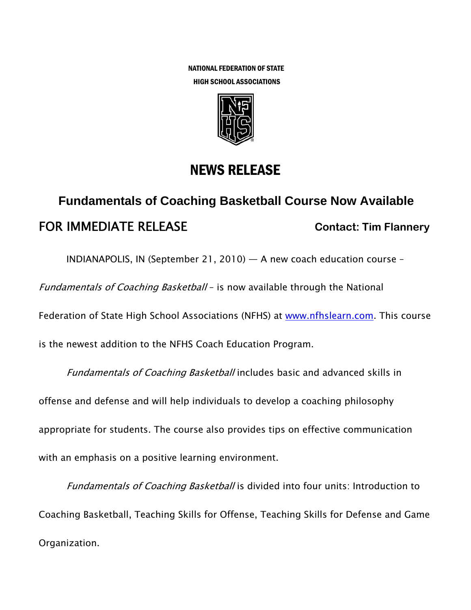NATIONAL FEDERATION OF STATE HIGH SCHOOL ASSOCIATIONS



## NEWS RELEASE

## **Fundamentals of Coaching Basketball Course Now Available FOR IMMEDIATE RELEASE Contact: Tim Flannery**

INDIANAPOLIS, IN (September 21, 2010) — A new coach education course –

Fundamentals of Coaching Basketball - is now available through the National

Federation of State High School Associations (NFHS) at www.nfhslearn.com. This course

is the newest addition to the NFHS Coach Education Program.

Fundamentals of Coaching Basketball includes basic and advanced skills in offense and defense and will help individuals to develop a coaching philosophy appropriate for students. The course also provides tips on effective communication with an emphasis on a positive learning environment.

Fundamentals of Coaching Basketball is divided into four units: Introduction to Coaching Basketball, Teaching Skills for Offense, Teaching Skills for Defense and Game Organization.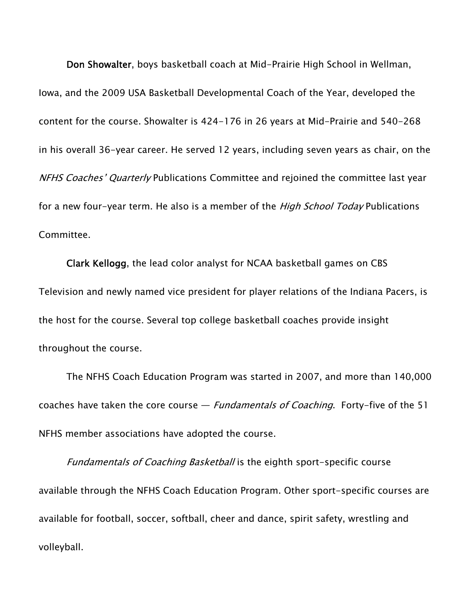Don Showalter, boys basketball coach at Mid-Prairie High School in Wellman, Iowa, and the 2009 USA Basketball Developmental Coach of the Year, developed the content for the course. Showalter is 424-176 in 26 years at Mid-Prairie and 540-268 in his overall 36-year career. He served 12 years, including seven years as chair, on the NFHS Coaches' Quarterly Publications Committee and rejoined the committee last year for a new four-year term. He also is a member of the *High School Today* Publications Committee.

Clark Kellogg, the lead color analyst for NCAA basketball games on CBS Television and newly named vice president for player relations of the Indiana Pacers, is the host for the course. Several top college basketball coaches provide insight throughout the course.

The NFHS Coach Education Program was started in 2007, and more than 140,000 coaches have taken the core course  $-$  *Fundamentals of Coaching*. Forty-five of the 51 NFHS member associations have adopted the course.

Fundamentals of Coaching Basketball is the eighth sport-specific course available through the NFHS Coach Education Program. Other sport-specific courses are available for football, soccer, softball, cheer and dance, spirit safety, wrestling and volleyball.